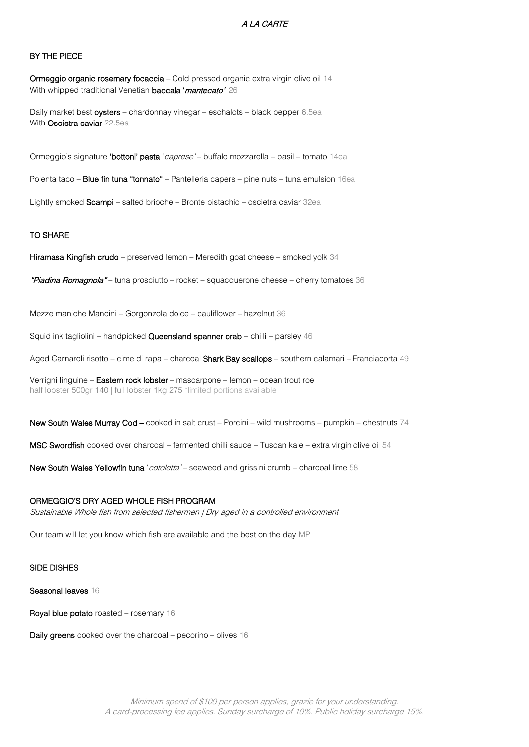## A LA CARTE

## BY THE PIECE

Ormeggio organic rosemary focaccia – Cold pressed organic extra virgin olive oil 14 With whipped traditional Venetian **baccala 'mantecato'** 26

Daily market best oysters - chardonnay vinegar - eschalots - black pepper 6.5ea With Oscietra caviar 22.5ea

Ormeggio's signature 'bottoni' pasta '*caprese'* – buffalo mozzarella – basil – tomato 14ea

Polenta taco – **Blue fin tuna "tonnato"** – Pantelleria capers – pine nuts – tuna emulsion 16ea

Lightly smoked Scampi – salted brioche – Bronte pistachio – oscietra caviar 32ea

#### TO SHARE

Hiramasa Kingfish crudo – preserved lemon – Meredith goat cheese – smoked yolk 34

"Piadina Romagnola" – tuna prosciutto – rocket – squacquerone cheese – cherry tomatoes 36

Mezze maniche Mancini – Gorgonzola dolce – cauliflower – hazelnut 36

Squid ink tagliolini – handpicked Queensland spanner crab – chilli – parsley 46

Aged Carnaroli risotto – cime di rapa – charcoal Shark Bay scallops – southern calamari – Franciacorta 49

Verrigni linguine – Eastern rock lobster – mascarpone – lemon – ocean trout roe half lobster 500gr 140 | full lobster 1kg 275 \*limited portions available

New South Wales Murray Cod – cooked in salt crust – Porcini – wild mushrooms – pumpkin – chestnuts 74

MSC Swordfish cooked over charcoal – fermented chilli sauce – Tuscan kale – extra virgin olive oil 54

New South Wales Yellowfin tuna '*cotoletta'* – seaweed and grissini crumb – charcoal lime 58

# ORMEGGIO'S DRY AGED WHOLE FISH PROGRAM

Sustainable Whole fish from selected fishermen | Dry aged in a controlled environment

Our team will let you know which fish are available and the best on the day MP

## SIDE DISHES

Seasonal leaves 16

Royal blue potato roasted – rosemary 16

Daily greens cooked over the charcoal – pecorino – olives 16